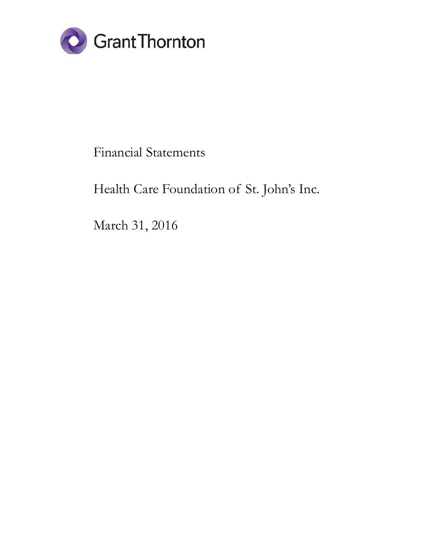

## Financial Statements

Health Care Foundation of St. John's Inc.

March 31, 2016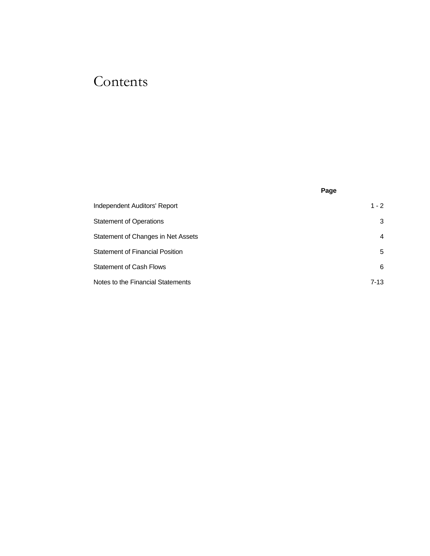# **Contents**

| . .<br>$\overline{\phantom{a}}$<br>×<br>v<br>- |
|------------------------------------------------|
|------------------------------------------------|

| Independent Auditors' Report           | $1 - 2$ |
|----------------------------------------|---------|
| <b>Statement of Operations</b>         | 3       |
| Statement of Changes in Net Assets     | 4       |
| <b>Statement of Financial Position</b> | 5       |
| <b>Statement of Cash Flows</b>         | 6       |
| Notes to the Financial Statements      | $7-13$  |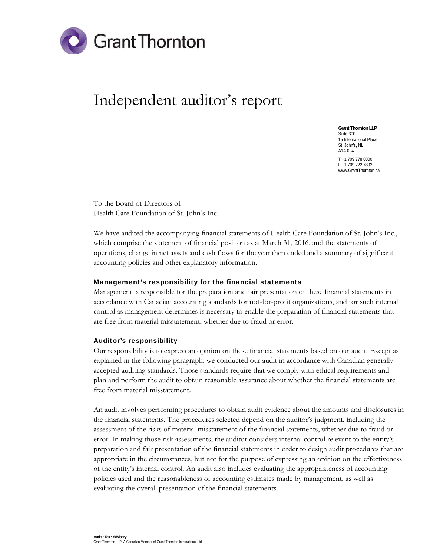

# Independent auditor's report

**Grant Thornton LLP**  Suite 300 15 International Place St. John's, NL A1A 0L4 T +1 709 778 8800 F +1 709 722 7892 www.GrantThornton.ca

To the Board of Directors of Health Care Foundation of St. John's Inc.

We have audited the accompanying financial statements of Health Care Foundation of St. John's Inc., which comprise the statement of financial position as at March 31, 2016, and the statements of operations, change in net assets and cash flows for the year then ended and a summary of significant accounting policies and other explanatory information.

#### Management's responsibility for the financial statements

Management is responsible for the preparation and fair presentation of these financial statements in accordance with Canadian accounting standards for not-for-profit organizations, and for such internal control as management determines is necessary to enable the preparation of financial statements that are free from material misstatement, whether due to fraud or error.

#### Auditor's responsibility

Our responsibility is to express an opinion on these financial statements based on our audit. Except as explained in the following paragraph, we conducted our audit in accordance with Canadian generally accepted auditing standards. Those standards require that we comply with ethical requirements and plan and perform the audit to obtain reasonable assurance about whether the financial statements are free from material misstatement.

An audit involves performing procedures to obtain audit evidence about the amounts and disclosures in the financial statements. The procedures selected depend on the auditor's judgment, including the assessment of the risks of material misstatement of the financial statements, whether due to fraud or error. In making those risk assessments, the auditor considers internal control relevant to the entity's preparation and fair presentation of the financial statements in order to design audit procedures that are appropriate in the circumstances, but not for the purpose of expressing an opinion on the effectiveness of the entity's internal control. An audit also includes evaluating the appropriateness of accounting policies used and the reasonableness of accounting estimates made by management, as well as evaluating the overall presentation of the financial statements.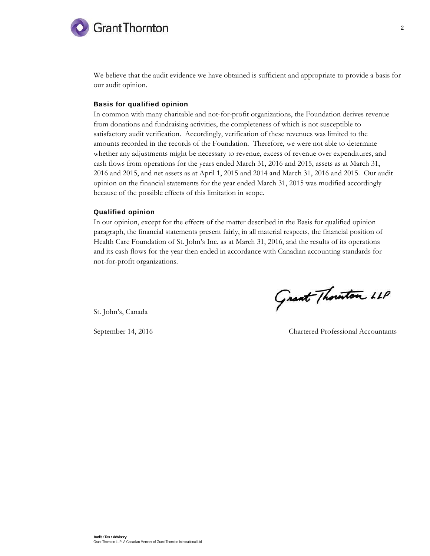

We believe that the audit evidence we have obtained is sufficient and appropriate to provide a basis for our audit opinion.

#### Basis for qualified opinion

In common with many charitable and not-for-profit organizations, the Foundation derives revenue from donations and fundraising activities, the completeness of which is not susceptible to satisfactory audit verification. Accordingly, verification of these revenues was limited to the amounts recorded in the records of the Foundation. Therefore, we were not able to determine whether any adjustments might be necessary to revenue, excess of revenue over expenditures, and cash flows from operations for the years ended March 31, 2016 and 2015, assets as at March 31, 2016 and 2015, and net assets as at April 1, 2015 and 2014 and March 31, 2016 and 2015. Our audit opinion on the financial statements for the year ended March 31, 2015 was modified accordingly because of the possible effects of this limitation in scope.

#### Qualified opinion

In our opinion, except for the effects of the matter described in the Basis for qualified opinion paragraph, the financial statements present fairly, in all material respects, the financial position of Health Care Foundation of St. John's Inc. as at March 31, 2016, and the results of its operations and its cash flows for the year then ended in accordance with Canadian accounting standards for not-for-profit organizations.

St. John's, Canada

Grant Thouton LLP

September 14, 2016 Chartered Professional Accountants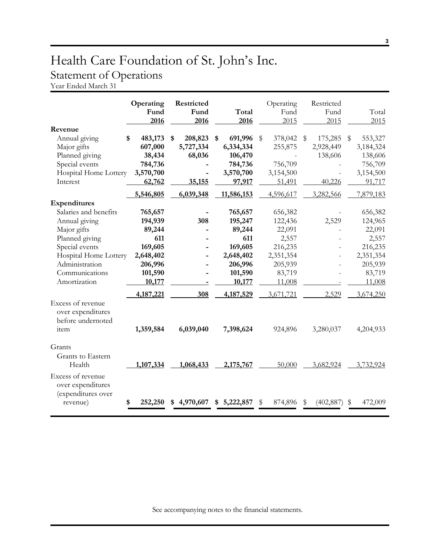# Health Care Foundation of St. John's Inc.

### Statement of Operations

Year Ended March 31

|                                                                                                                                                                                                                  | Operating<br>Fund<br>2016                                                                                | Restricted<br>Fund<br>2016                     | Total<br>2016                                                                                            | Operating<br>Fund<br>2015                                                                                 | Restricted<br>Fund<br>2015                      | Total<br>2015                                                                                             |
|------------------------------------------------------------------------------------------------------------------------------------------------------------------------------------------------------------------|----------------------------------------------------------------------------------------------------------|------------------------------------------------|----------------------------------------------------------------------------------------------------------|-----------------------------------------------------------------------------------------------------------|-------------------------------------------------|-----------------------------------------------------------------------------------------------------------|
| Revenue<br>Annual giving<br>Major gifts<br>Planned giving<br>Special events<br>Hospital Home Lottery<br>Interest                                                                                                 | 483,173<br>\$<br>607,000<br>38,434<br>784,736<br>3,570,700<br>62,762                                     | 208,823<br>\$<br>5,727,334<br>68,036<br>35,155 | 691,996<br>\$<br>6,334,334<br>106,470<br>784,736<br>3,570,700<br>97,917                                  | 378,042<br>\$<br>255,875<br>756,709<br>3,154,500<br>51,491                                                | 175,285<br>\$<br>2,928,449<br>138,606<br>40,226 | 553,327<br>\$<br>3,184,324<br>138,606<br>756,709<br>3,154,500<br>91,717                                   |
| Expenditures                                                                                                                                                                                                     | 5,546,805                                                                                                | 6,039,348                                      | 11,586,153                                                                                               | 4,596,617                                                                                                 | 3,282,566                                       | 7,879,183                                                                                                 |
| Salaries and benefits<br>Annual giving<br>Major gifts<br>Planned giving<br>Special events<br>Hospital Home Lottery<br>Administration<br>Communications<br>Amortization<br>Excess of revenue<br>over expenditures | 765,657<br>194,939<br>89,244<br>611<br>169,605<br>2,648,402<br>206,996<br>101,590<br>10,177<br>4,187,221 | 308<br>308                                     | 765,657<br>195,247<br>89,244<br>611<br>169,605<br>2,648,402<br>206,996<br>101,590<br>10,177<br>4,187,529 | 656,382<br>122,436<br>22,091<br>2,557<br>216,235<br>2,351,354<br>205,939<br>83,719<br>11,008<br>3,671,721 | 2,529<br>2,529                                  | 656,382<br>124,965<br>22,091<br>2,557<br>216,235<br>2,351,354<br>205,939<br>83,719<br>11,008<br>3,674,250 |
| before undernoted<br>item                                                                                                                                                                                        | 1,359,584                                                                                                | 6,039,040                                      | 7,398,624                                                                                                | 924,896                                                                                                   | 3,280,037                                       | 4,204,933                                                                                                 |
| Grants<br>Grants to Eastern<br>Health                                                                                                                                                                            | 1,107,334                                                                                                | 1,068,433                                      | 2,175,767                                                                                                | 50,000                                                                                                    | 3,682,924                                       | 3,732,924                                                                                                 |
| Excess of revenue<br>over expenditures<br>(expenditures over<br>revenue)                                                                                                                                         | 252,250<br>\$                                                                                            | 4,970,607<br>\$                                | \$5,222,857                                                                                              | 874,896<br>S                                                                                              | (402, 887)<br>Ж                                 | 472,009<br>S                                                                                              |

See accompanying notes to the financial statements.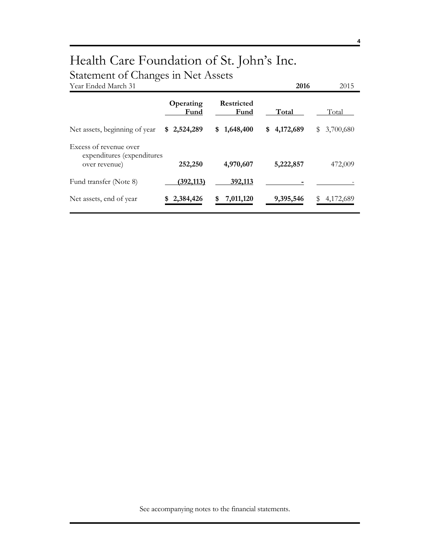### Health Care Foundation of St. John's Inc. Statement of Changes in Net Assets

| Year Ended March 31                                                   |                   |                           | 2016            | 2015            |
|-----------------------------------------------------------------------|-------------------|---------------------------|-----------------|-----------------|
|                                                                       | Operating<br>Fund | <b>Restricted</b><br>Fund | Total           | Total           |
| Net assets, beginning of year                                         | \$2,524,289       | 1,648,400<br>\$           | 4,172,689<br>\$ | 3,700,680<br>\$ |
| Excess of revenue over<br>expenditures (expenditures<br>over revenue) | 252,250           | 4,970,607                 | 5,222,857       | 472,009         |
| Fund transfer (Note 8)                                                | <u>(392,113)</u>  | 392,113                   |                 |                 |
| Net assets, end of year                                               | 2,384,426         | 7,011,120<br>\$           | 9,395,546       | 4,172,689       |

See accompanying notes to the financial statements.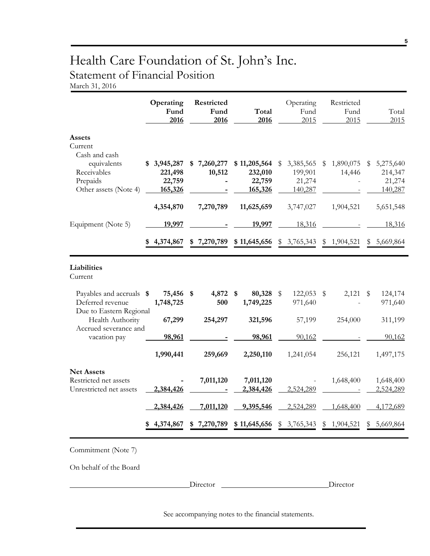## Health Care Foundation of St. John's Inc. Statement of Financial Position

March 31, 2016

|                                                                                  | Operating<br>Fund<br>2016                   | Restricted<br>Fund<br>2016 | Total<br>2016                                              | Operating<br>Fund<br>2015                            | Restricted<br>Fund<br>2015 | Total<br>2015                                  |
|----------------------------------------------------------------------------------|---------------------------------------------|----------------------------|------------------------------------------------------------|------------------------------------------------------|----------------------------|------------------------------------------------|
| <b>Assets</b><br>Current                                                         |                                             |                            |                                                            |                                                      |                            |                                                |
| Cash and cash<br>equivalents<br>Receivables<br>Prepaids<br>Other assets (Note 4) | \$3,945,287<br>221,498<br>22,759<br>165,326 | 10,512                     | $$7,260,277$ $$11,205,564$<br>232,010<br>22,759<br>165,326 | 3,385,565<br>-S<br>199,901<br>21,274<br>140,287      | \$1,890,075<br>14,446      | 5,275,640<br>S<br>214,347<br>21,274<br>140,287 |
|                                                                                  | 4,354,870                                   | 7,270,789                  | 11,625,659                                                 | 3,747,027                                            | 1,904,521                  | 5,651,548                                      |
| Equipment (Note 5)                                                               | 19,997                                      |                            | 19,997                                                     | 18,316                                               |                            | 18,316                                         |
|                                                                                  | \$4,374,867                                 |                            |                                                            | $$7,270,789$ $$11,645,656$ $$3,765,343$ $$1,904,521$ |                            | \$ 5,669,864                                   |
| Liabilities<br>Current                                                           |                                             |                            |                                                            |                                                      |                            |                                                |
| Payables and accruals \$<br>Deferred revenue<br>Due to Eastern Regional          | 75,456 \$<br>1,748,725                      | $4,872$ \$<br>500          | 80,328 \$<br>1,749,225                                     | 122,053 \$<br>971,640                                | 2,121                      | 124,174<br>S<br>971,640                        |
| Health Authority<br>Accrued severance and                                        | 67,299                                      | 254,297                    | 321,596                                                    | 57,199                                               | 254,000                    | 311,199                                        |
| vacation pay                                                                     | 98,961                                      |                            | 98,961                                                     | 90,162                                               |                            | 90,162                                         |
|                                                                                  | 1,990,441                                   | 259,669                    | 2,250,110                                                  | 1,241,054                                            | 256,121                    | 1,497,175                                      |
| <b>Net Assets</b><br>Restricted net assets<br>Unrestricted net assets            | 2,384,426                                   | 7,011,120                  | 7,011,120<br>2,384,426                                     | 2,524,289                                            | 1,648,400                  | 1,648,400<br>2,524,289                         |
|                                                                                  | 2,384,426                                   | 7,011,120                  | 9,395,546                                                  | 2,524,289                                            | 1,648,400                  | 4,172,689                                      |
|                                                                                  | \$4,374,867                                 | \$7,270,789                | \$11,645,656                                               | \$3,765,343                                          | \$1,904,521                | 5,669,864                                      |

Commitment (Note 7)

On behalf of the Board

Director Director

See accompanying notes to the financial statements.

**5**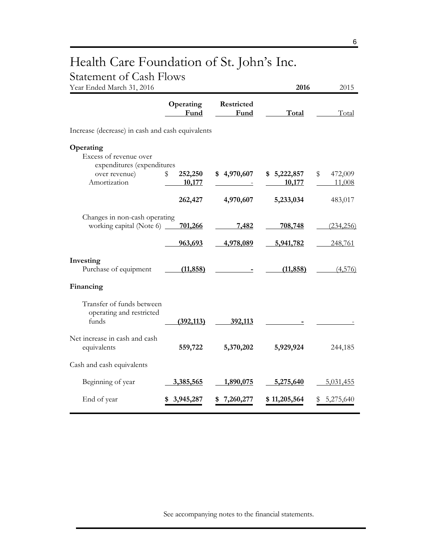## Health Care Foundation of St. John's Inc. Statement of Cash Flows

| Year Ended March 31, 2016                                         |                         |                    | 2016                  | 2015                    |
|-------------------------------------------------------------------|-------------------------|--------------------|-----------------------|-------------------------|
|                                                                   | Operating<br>Fund       | Restricted<br>Fund | Total                 | Total                   |
| Increase (decrease) in cash and cash equivalents                  |                         |                    |                       |                         |
| Operating<br>Excess of revenue over<br>expenditures (expenditures |                         |                    |                       |                         |
| over revenue)<br>Amortization                                     | 252,250<br>S.<br>10,177 | \$4,970,607        | \$5,222,857<br>10,177 | \$<br>472,009<br>11,008 |
|                                                                   | 262,427                 | 4,970,607          | 5,233,034             | 483,017                 |
| Changes in non-cash operating<br>working capital (Note 6) _____   | 701,266                 | 7,482              | 708,748               | (234, 256)              |
|                                                                   | 963,693                 | 4,978,089          | 5,941,782             | 248,761                 |
| Investing<br>Purchase of equipment                                | (11, 858)               |                    | (11, 858)             | (4,576)                 |
| Financing                                                         |                         |                    |                       |                         |
| Transfer of funds between<br>operating and restricted<br>funds    | (392, 113)              | 392,113            |                       |                         |
| Net increase in cash and cash<br>equivalents                      | 559,722                 | 5,370,202          | 5,929,924             | 244,185                 |
| Cash and cash equivalents                                         |                         |                    |                       |                         |
| Beginning of year                                                 | 3,385,565               | 1,890,075          | 5,275,640             | 5,031,455               |
| End of year                                                       | 3,945,287               | \$7,260,277        | \$11,205,564          | 5,275,640               |

See accompanying notes to the financial statements.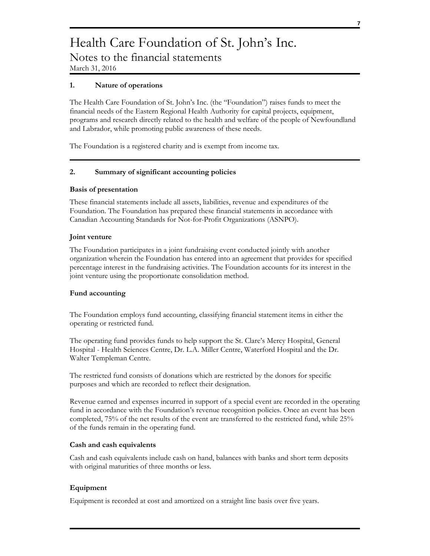March 31, 2016

#### **1. Nature of operations**

The Health Care Foundation of St. John's Inc. (the "Foundation") raises funds to meet the financial needs of the Eastern Regional Health Authority for capital projects, equipment, programs and research directly related to the health and welfare of the people of Newfoundland and Labrador, while promoting public awareness of these needs.

The Foundation is a registered charity and is exempt from income tax.

#### **2. Summary of significant accounting policies**

#### **Basis of presentation**

These financial statements include all assets, liabilities, revenue and expenditures of the Foundation. The Foundation has prepared these financial statements in accordance with Canadian Accounting Standards for Not-for-Profit Organizations (ASNPO).

#### **Joint venture**

The Foundation participates in a joint fundraising event conducted jointly with another organization wherein the Foundation has entered into an agreement that provides for specified percentage interest in the fundraising activities. The Foundation accounts for its interest in the joint venture using the proportionate consolidation method.

#### **Fund accounting**

The Foundation employs fund accounting, classifying financial statement items in either the operating or restricted fund.

The operating fund provides funds to help support the St. Clare's Mercy Hospital, General Hospital - Health Sciences Centre, Dr. L.A. Miller Centre, Waterford Hospital and the Dr. Walter Templeman Centre.

The restricted fund consists of donations which are restricted by the donors for specific purposes and which are recorded to reflect their designation.

Revenue earned and expenses incurred in support of a special event are recorded in the operating fund in accordance with the Foundation's revenue recognition policies. Once an event has been completed, 75% of the net results of the event are transferred to the restricted fund, while 25% of the funds remain in the operating fund.

#### **Cash and cash equivalents**

Cash and cash equivalents include cash on hand, balances with banks and short term deposits with original maturities of three months or less.

#### **Equipment**

٦

Equipment is recorded at cost and amortized on a straight line basis over five years.

**7**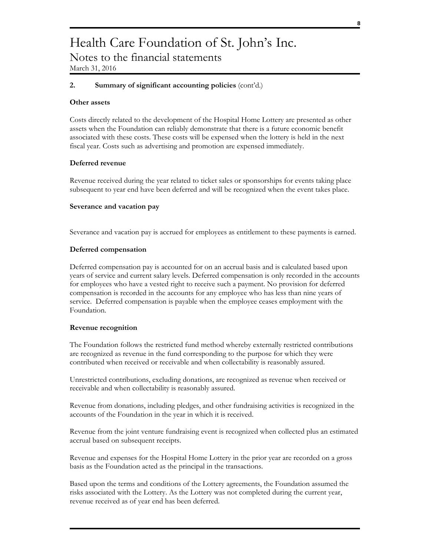March 31, 2016

#### **2. Summary of significant accounting policies** (cont'd.)

#### **Other assets**

Costs directly related to the development of the Hospital Home Lottery are presented as other assets when the Foundation can reliably demonstrate that there is a future economic benefit associated with these costs. These costs will be expensed when the lottery is held in the next fiscal year. Costs such as advertising and promotion are expensed immediately.

#### **Deferred revenue**

Revenue received during the year related to ticket sales or sponsorships for events taking place subsequent to year end have been deferred and will be recognized when the event takes place.

#### **Severance and vacation pay**

Severance and vacation pay is accrued for employees as entitlement to these payments is earned.

#### **Deferred compensation**

Deferred compensation pay is accounted for on an accrual basis and is calculated based upon years of service and current salary levels. Deferred compensation is only recorded in the accounts for employees who have a vested right to receive such a payment. No provision for deferred compensation is recorded in the accounts for any employee who has less than nine years of service. Deferred compensation is payable when the employee ceases employment with the Foundation.

#### **Revenue recognition**

٦

The Foundation follows the restricted fund method whereby externally restricted contributions are recognized as revenue in the fund corresponding to the purpose for which they were contributed when received or receivable and when collectability is reasonably assured.

Unrestricted contributions, excluding donations, are recognized as revenue when received or receivable and when collectability is reasonably assured.

Revenue from donations, including pledges, and other fundraising activities is recognized in the accounts of the Foundation in the year in which it is received.

Revenue from the joint venture fundraising event is recognized when collected plus an estimated accrual based on subsequent receipts.

Revenue and expenses for the Hospital Home Lottery in the prior year are recorded on a gross basis as the Foundation acted as the principal in the transactions.

Based upon the terms and conditions of the Lottery agreements, the Foundation assumed the risks associated with the Lottery. As the Lottery was not completed during the current year, revenue received as of year end has been deferred.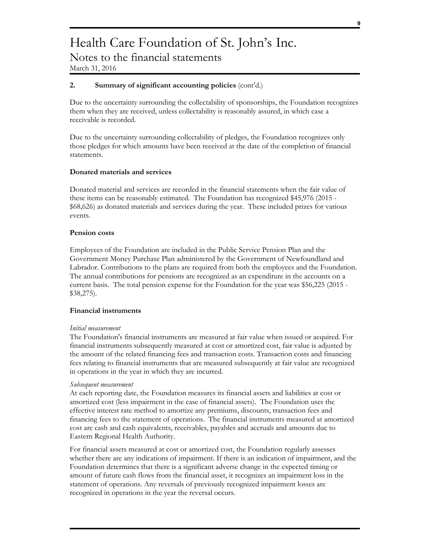March 31, 2016

#### **2. Summary of significant accounting policies** (cont'd.)

Due to the uncertainty surrounding the collectability of sponsorships, the Foundation recognizes them when they are received, unless collectability is reasonably assured, in which case a receivable is recorded.

Due to the uncertainty surrounding collectability of pledges, the Foundation recognizes only those pledges for which amounts have been received at the date of the completion of financial statements.

#### **Donated materials and services**

Donated material and services are recorded in the financial statements when the fair value of these items can be reasonably estimated. The Foundation has recognized \$45,976 (2015 - \$68,626) as donated materials and services during the year. These included prizes for various events.

#### **Pension costs**

Employees of the Foundation are included in the Public Service Pension Plan and the Government Money Purchase Plan administered by the Government of Newfoundland and Labrador. Contributions to the plans are required from both the employees and the Foundation. The annual contributions for pensions are recognized as an expenditure in the accounts on a current basis. The total pension expense for the Foundation for the year was \$56,225 (2015 - \$38,275).

#### **Financial instruments**

#### *Initial measurement*

The Foundation's financial instruments are measured at fair value when issued or acquired. For financial instruments subsequently measured at cost or amortized cost, fair value is adjusted by the amount of the related financing fees and transaction costs. Transaction costs and financing fees relating to financial instruments that are measured subsequently at fair value are recognized in operations in the year in which they are incurred.

#### *Subsequent measurement*

٦

At each reporting date, the Foundation measures its financial assets and liabilities at cost or amortized cost (less impairment in the case of financial assets). The Foundation uses the effective interest rate method to amortize any premiums, discounts, transaction fees and financing fees to the statement of operations. The financial instruments measured at amortized cost are cash and cash equivalents, receivables, payables and accruals and amounts due to Eastern Regional Health Authority.

For financial assets measured at cost or amortized cost, the Foundation regularly assesses whether there are any indications of impairment. If there is an indication of impairment, and the Foundation determines that there is a significant adverse change in the expected timing or amount of future cash flows from the financial asset, it recognizes an impairment loss in the statement of operations. Any reversals of previously recognized impairment losses are recognized in operations in the year the reversal occurs.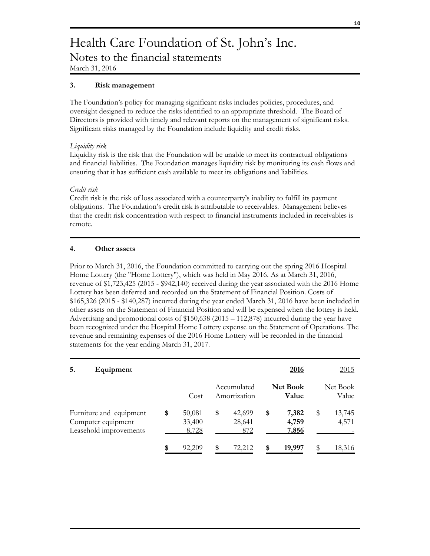March 31, 2016

#### **3. Risk management**

The Foundation's policy for managing significant risks includes policies, procedures, and oversight designed to reduce the risks identified to an appropriate threshold. The Board of Directors is provided with timely and relevant reports on the management of significant risks. Significant risks managed by the Foundation include liquidity and credit risks.

#### *Liquidity risk*

Liquidity risk is the risk that the Foundation will be unable to meet its contractual obligations and financial liabilities. The Foundation manages liquidity risk by monitoring its cash flows and ensuring that it has sufficient cash available to meet its obligations and liabilities.

#### *Credit risk*

٦

Credit risk is the risk of loss associated with a counterparty's inability to fulfill its payment obligations. The Foundation's credit risk is attributable to receivables. Management believes that the credit risk concentration with respect to financial instruments included in receivables is remote.

#### **4. Other assets**

Prior to March 31, 2016, the Foundation committed to carrying out the spring 2016 Hospital Home Lottery (the "Home Lottery"), which was held in May 2016. As at March 31, 2016, revenue of \$1,723,425 (2015 - \$942,140) received during the year associated with the 2016 Home Lottery has been deferred and recorded on the Statement of Financial Position. Costs of \$165,326 (2015 - \$140,287) incurred during the year ended March 31, 2016 have been included in other assets on the Statement of Financial Position and will be expensed when the lottery is held. Advertising and promotional costs of  $$150,638$  (2015 – 112,878) incurred during the year have been recognized under the Hospital Home Lottery expense on the Statement of Operations. The revenue and remaining expenses of the 2016 Home Lottery will be recorded in the financial statements for the year ending March 31, 2017.

| 5.<br>Equipment                                                         |                                 |                               | 2016                          | 2015                  |
|-------------------------------------------------------------------------|---------------------------------|-------------------------------|-------------------------------|-----------------------|
|                                                                         | Cost                            | Accumulated<br>Amortization   | <b>Net Book</b><br>Value      | Net Book<br>Value     |
| Furniture and equipment<br>Computer equipment<br>Leasehold improvements | \$<br>50,081<br>33,400<br>8,728 | \$<br>42,699<br>28,641<br>872 | \$<br>7,382<br>4,759<br>7,856 | \$<br>13,745<br>4,571 |
|                                                                         | \$<br>92,209                    | \$<br>72,212                  | \$<br>19,997                  | \$<br>18,316          |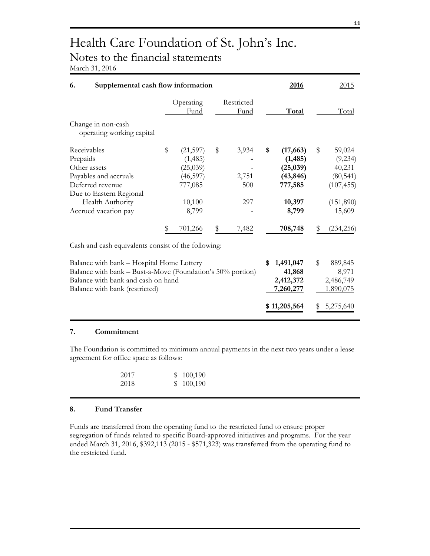March 31, 2016

| Supplemental cash flow information<br>6.                                                                                                                                                                                                                         |    |                                                                             |    |                              |    | 2016                                                                          | 2015                                                                                |
|------------------------------------------------------------------------------------------------------------------------------------------------------------------------------------------------------------------------------------------------------------------|----|-----------------------------------------------------------------------------|----|------------------------------|----|-------------------------------------------------------------------------------|-------------------------------------------------------------------------------------|
|                                                                                                                                                                                                                                                                  |    | Operating<br>Fund                                                           |    | Restricted<br>Fund           |    | Total                                                                         | Total                                                                               |
| Change in non-cash<br>operating working capital                                                                                                                                                                                                                  |    |                                                                             |    |                              |    |                                                                               |                                                                                     |
| Receivables<br>Prepaids<br>Other assets<br>Payables and accruals<br>Deferred revenue<br>Due to Eastern Regional<br>Health Authority<br>Accrued vacation pay                                                                                                      | \$ | (21, 597)<br>(1,485)<br>(25,039)<br>(46, 597)<br>777,085<br>10,100<br>8,799 | \$ | 3,934<br>2,751<br>500<br>297 | \$ | (17, 663)<br>(1, 485)<br>(25, 039)<br>(43, 846)<br>777,585<br>10,397<br>8,799 | \$<br>59,024<br>(9,234)<br>40,231<br>(80, 541)<br>(107, 455)<br>(151,890)<br>15,609 |
| 701,266<br>\$<br>7,482<br>Cash and cash equivalents consist of the following:<br>Balance with bank - Hospital Home Lottery<br>Balance with bank - Bust-a-Move (Foundation's 50% portion)<br>Balance with bank and cash on hand<br>Balance with bank (restricted) |    |                                                                             |    |                              |    | 708,748<br>1,491,047<br>41,868<br>2,412,372<br>7,260,277<br>\$11,205,564      | \$<br>(234, 256)<br>889,845<br>8,971<br>2,486,749<br>1,890,075<br>5,275,640         |

#### **7. Commitment**

The Foundation is committed to minimum annual payments in the next two years under a lease agreement for office space as follows:

| 2017 | \$100,190 |
|------|-----------|
| 2018 | \$100,190 |

#### **8. Fund Transfer**

٦

Funds are transferred from the operating fund to the restricted fund to ensure proper segregation of funds related to specific Board-approved initiatives and programs. For the year ended March 31, 2016, \$392,113 (2015 - \$571,323) was transferred from the operating fund to the restricted fund.

**11**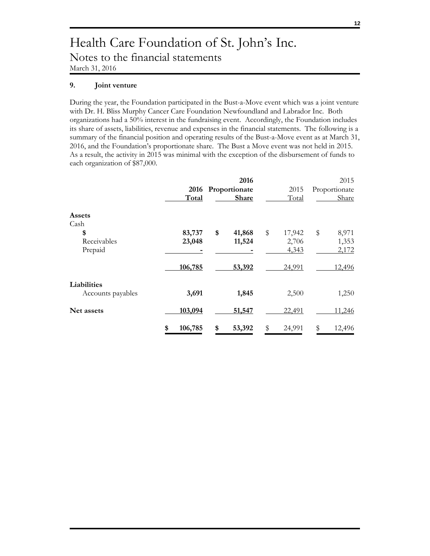March 31, 2016

٦

#### **9. Joint venture**

During the year, the Foundation participated in the Bust-a-Move event which was a joint venture with Dr. H. Bliss Murphy Cancer Care Foundation Newfoundland and Labrador Inc. Both organizations had a 50% interest in the fundraising event. Accordingly, the Foundation includes its share of assets, liabilities, revenue and expenses in the financial statements. The following is a summary of the financial position and operating results of the Bust-a-Move event as at March 31, 2016, and the Foundation's proportionate share. The Bust a Move event was not held in 2015. As a result, the activity in 2015 was minimal with the exception of the disbursement of funds to each organization of \$87,000.

|                   |               | 2016          |              | 2015          |
|-------------------|---------------|---------------|--------------|---------------|
|                   | 2016          | Proportionate | 2015         | Proportionate |
|                   | Total         | Share         | Total        | Share         |
| <b>Assets</b>     |               |               |              |               |
| Cash              |               |               |              |               |
| \$                | 83,737        | \$<br>41,868  | \$<br>17,942 | \$<br>8,971   |
| Receivables       | 23,048        | 11,524        | 2,706        | 1,353         |
| Prepaid           |               |               | 4,343        | 2,172         |
|                   | 106,785       | 53,392        | 24,991       | 12,496        |
| Liabilities       |               |               |              |               |
| Accounts payables | 3,691         | 1,845         | 2,500        | 1,250         |
| Net assets        | 103,094       | 51,547        | 22,491       | 11,246        |
|                   | 106,785<br>\$ | \$<br>53,392  | \$<br>24,991 | \$<br>12,496  |